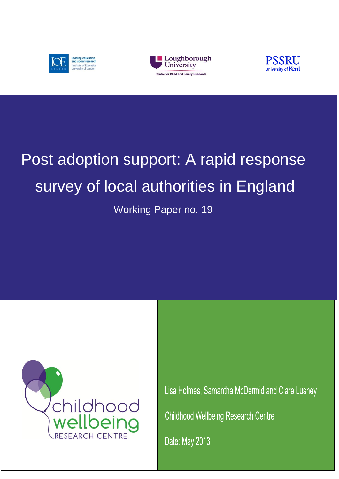





# Post adoption support: A rapid response survey of local authorities in England

Working Paper no. 19



Lisa Holmes, Samantha McDermid and Clare Lushey **Childhood Wellbeing Research Centre** Date: May 2013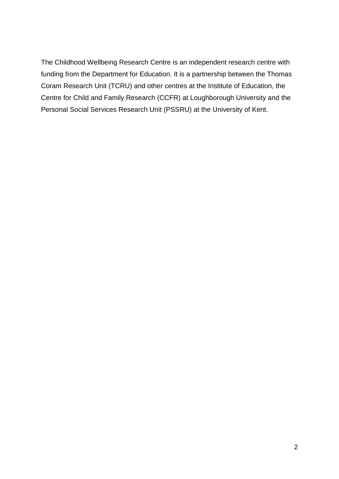The Childhood Wellbeing Research Centre is an independent research centre with funding from the Department for Education. It is a partnership between the Thomas Coram Research Unit (TCRU) and other centres at the Institute of Education, the Centre for Child and Family Research (CCFR) at Loughborough University and the Personal Social Services Research Unit (PSSRU) at the University of Kent.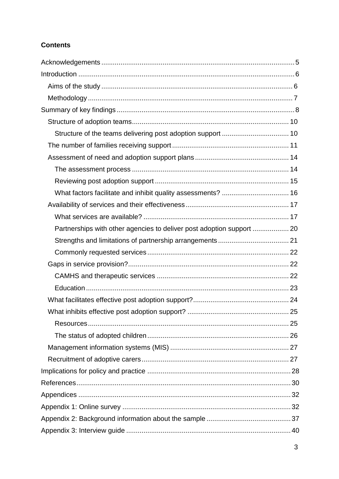# **Contents**

| What factors facilitate and inhibit quality assessments?  16          |  |
|-----------------------------------------------------------------------|--|
|                                                                       |  |
|                                                                       |  |
| Partnerships with other agencies to deliver post adoption support  20 |  |
|                                                                       |  |
|                                                                       |  |
|                                                                       |  |
|                                                                       |  |
|                                                                       |  |
|                                                                       |  |
|                                                                       |  |
|                                                                       |  |
|                                                                       |  |
|                                                                       |  |
|                                                                       |  |
|                                                                       |  |
|                                                                       |  |
|                                                                       |  |
|                                                                       |  |
|                                                                       |  |
|                                                                       |  |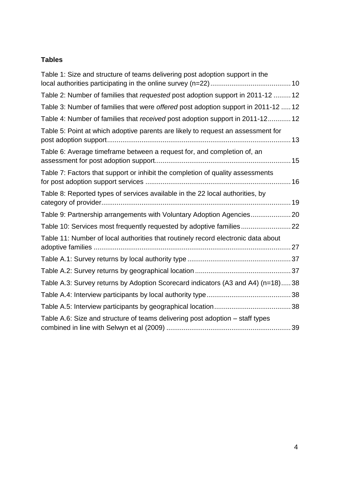# **Tables**

| Table 1: Size and structure of teams delivering post adoption support in the       |
|------------------------------------------------------------------------------------|
| Table 2: Number of families that requested post adoption support in 2011-12  12    |
| Table 3: Number of families that were offered post adoption support in 2011-12  12 |
| Table 4: Number of families that received post adoption support in 2011-12 12      |
| Table 5: Point at which adoptive parents are likely to request an assessment for   |
| Table 6: Average timeframe between a request for, and completion of, an            |
| Table 7: Factors that support or inhibit the completion of quality assessments     |
| Table 8: Reported types of services available in the 22 local authorities, by      |
| Table 9: Partnership arrangements with Voluntary Adoption Agencies20               |
| Table 10: Services most frequently requested by adoptive families22                |
| Table 11: Number of local authorities that routinely record electronic data about  |
|                                                                                    |
|                                                                                    |
| Table A.3: Survey returns by Adoption Scorecard indicators (A3 and A4) (n=18)38    |
|                                                                                    |
|                                                                                    |
| Table A.6: Size and structure of teams delivering post adoption - staff types      |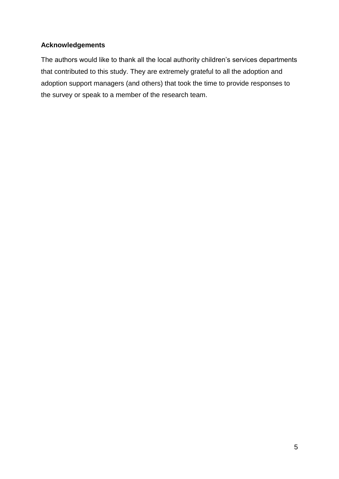# <span id="page-4-0"></span>**Acknowledgements**

The authors would like to thank all the local authority children's services departments that contributed to this study. They are extremely grateful to all the adoption and adoption support managers (and others) that took the time to provide responses to the survey or speak to a member of the research team.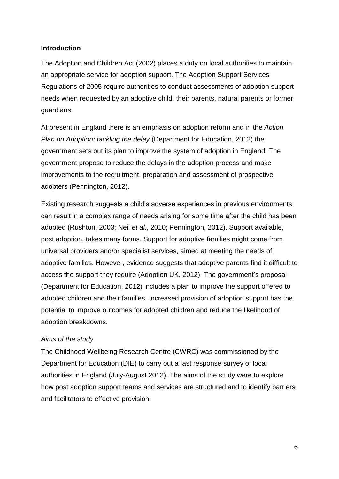## <span id="page-5-0"></span>**Introduction**

The Adoption and Children Act (2002) places a duty on local authorities to maintain an appropriate service for adoption support. The Adoption Support Services Regulations of 2005 require authorities to conduct assessments of adoption support needs when requested by an adoptive child, their parents, natural parents or former guardians.

At present in England there is an emphasis on adoption reform and in the *Action Plan on Adoption: tackling the delay* (Department for Education, 2012) the government sets out its plan to improve the system of adoption in England. The government propose to reduce the delays in the adoption process and make improvements to the recruitment, preparation and assessment of prospective adopters (Pennington, 2012).

Existing research suggests a child's adverse experiences in previous environments can result in a complex range of needs arising for some time after the child has been adopted (Rushton, 2003; Neil *et al.*, 2010; Pennington, 2012). Support available, post adoption, takes many forms. Support for adoptive families might come from universal providers and/or specialist services, aimed at meeting the needs of adoptive families. However, evidence suggests that adoptive parents find it difficult to access the support they require (Adoption UK, 2012). The government's proposal (Department for Education, 2012) includes a plan to improve the support offered to adopted children and their families. Increased provision of adoption support has the potential to improve outcomes for adopted children and reduce the likelihood of adoption breakdowns.

# <span id="page-5-1"></span>*Aims of the study*

The Childhood Wellbeing Research Centre (CWRC) was commissioned by the Department for Education (DfE) to carry out a fast response survey of local authorities in England (July-August 2012). The aims of the study were to explore how post adoption support teams and services are structured and to identify barriers and facilitators to effective provision.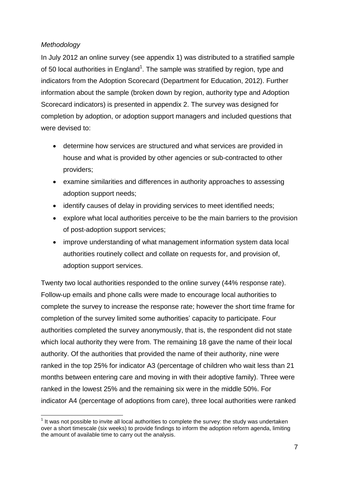# <span id="page-6-0"></span>*Methodology*

In July 2012 an online survey (see appendix 1) was distributed to a stratified sample of 50 local authorities in England<sup>1</sup>. The sample was stratified by region, type and indicators from the Adoption Scorecard (Department for Education, 2012). Further information about the sample (broken down by region, authority type and Adoption Scorecard indicators) is presented in appendix 2. The survey was designed for completion by adoption, or adoption support managers and included questions that were devised to:

- determine how services are structured and what services are provided in house and what is provided by other agencies or sub-contracted to other providers;
- examine similarities and differences in authority approaches to assessing adoption support needs;
- identify causes of delay in providing services to meet identified needs;
- explore what local authorities perceive to be the main barriers to the provision of post-adoption support services;
- improve understanding of what management information system data local authorities routinely collect and collate on requests for, and provision of, adoption support services.

Twenty two local authorities responded to the online survey (44% response rate). Follow-up emails and phone calls were made to encourage local authorities to complete the survey to increase the response rate; however the short time frame for completion of the survey limited some authorities' capacity to participate. Four authorities completed the survey anonymously, that is, the respondent did not state which local authority they were from. The remaining 18 gave the name of their local authority. Of the authorities that provided the name of their authority, nine were ranked in the top 25% for indicator A3 (percentage of children who wait less than 21 months between entering care and moving in with their adoptive family). Three were ranked in the lowest 25% and the remaining six were in the middle 50%. For indicator A4 (percentage of adoptions from care), three local authorities were ranked

<sup>1</sup>  $1$  It was not possible to invite all local authorities to complete the survey: the study was undertaken over a short timescale (six weeks) to provide findings to inform the adoption reform agenda, limiting the amount of available time to carry out the analysis.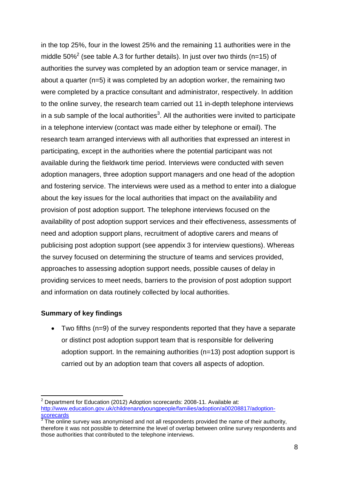in the top 25%, four in the lowest 25% and the remaining 11 authorities were in the middle 50%<sup>2</sup> (see table A.3 for further details). In just over two thirds (n=15) of authorities the survey was completed by an adoption team or service manager, in about a quarter (n=5) it was completed by an adoption worker, the remaining two were completed by a practice consultant and administrator, respectively. In addition to the online survey, the research team carried out 11 in-depth telephone interviews in a sub sample of the local authorities<sup>3</sup>. All the authorities were invited to participate in a telephone interview (contact was made either by telephone or email). The research team arranged interviews with all authorities that expressed an interest in participating, except in the authorities where the potential participant was not available during the fieldwork time period. Interviews were conducted with seven adoption managers, three adoption support managers and one head of the adoption and fostering service. The interviews were used as a method to enter into a dialogue about the key issues for the local authorities that impact on the availability and provision of post adoption support. The telephone interviews focused on the availability of post adoption support services and their effectiveness, assessments of need and adoption support plans, recruitment of adoptive carers and means of publicising post adoption support (see appendix 3 for interview questions). Whereas the survey focused on determining the structure of teams and services provided, approaches to assessing adoption support needs, possible causes of delay in providing services to meet needs, barriers to the provision of post adoption support and information on data routinely collected by local authorities.

#### <span id="page-7-0"></span>**Summary of key findings**

 Two fifths (n=9) of the survey respondents reported that they have a separate or distinct post adoption support team that is responsible for delivering adoption support. In the remaining authorities (n=13) post adoption support is carried out by an adoption team that covers all aspects of adoption.

<sup>1</sup>  $2$  Department for Education (2012) Adoption scorecards: 2008-11. Available at: [http://www.education.gov.uk/childrenandyoungpeople/families/adoption/a00208817/adoption](http://www.education.gov.uk/childrenandyoungpeople/families/adoption/a00208817/adoption-scorecards)[scorecards](http://www.education.gov.uk/childrenandyoungpeople/families/adoption/a00208817/adoption-scorecards)

 $3$  The online survey was anonymised and not all respondents provided the name of their authority, therefore it was not possible to determine the level of overlap between online survey respondents and those authorities that contributed to the telephone interviews.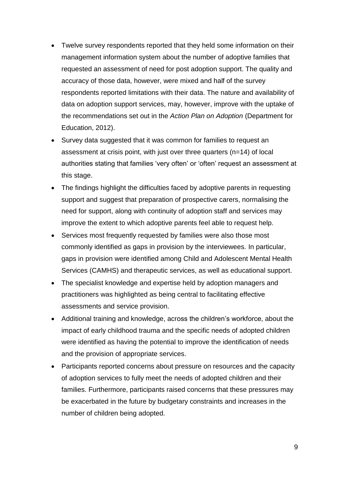- Twelve survey respondents reported that they held some information on their management information system about the number of adoptive families that requested an assessment of need for post adoption support. The quality and accuracy of those data, however, were mixed and half of the survey respondents reported limitations with their data. The nature and availability of data on adoption support services, may, however, improve with the uptake of the recommendations set out in the *Action Plan on Adoption* (Department for Education, 2012).
- Survey data suggested that it was common for families to request an assessment at crisis point, with just over three quarters (n=14) of local authorities stating that families 'very often' or 'often' request an assessment at this stage.
- The findings highlight the difficulties faced by adoptive parents in requesting support and suggest that preparation of prospective carers, normalising the need for support, along with continuity of adoption staff and services may improve the extent to which adoptive parents feel able to request help.
- Services most frequently requested by families were also those most commonly identified as gaps in provision by the interviewees. In particular, gaps in provision were identified among Child and Adolescent Mental Health Services (CAMHS) and therapeutic services, as well as educational support.
- The specialist knowledge and expertise held by adoption managers and practitioners was highlighted as being central to facilitating effective assessments and service provision.
- Additional training and knowledge, across the children's workforce, about the impact of early childhood trauma and the specific needs of adopted children were identified as having the potential to improve the identification of needs and the provision of appropriate services.
- Participants reported concerns about pressure on resources and the capacity of adoption services to fully meet the needs of adopted children and their families. Furthermore, participants raised concerns that these pressures may be exacerbated in the future by budgetary constraints and increases in the number of children being adopted.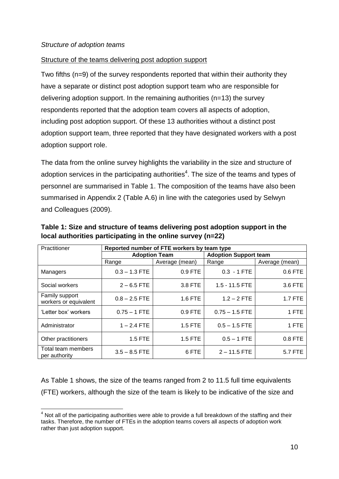#### <span id="page-9-1"></span><span id="page-9-0"></span>Structure of the teams delivering post adoption support

Two fifths (n=9) of the survey respondents reported that within their authority they have a separate or distinct post adoption support team who are responsible for delivering adoption support. In the remaining authorities (n=13) the survey respondents reported that the adoption team covers all aspects of adoption, including post adoption support. Of these 13 authorities without a distinct post adoption support team, three reported that they have designated workers with a post adoption support role.

The data from the online survey highlights the variability in the size and structure of adoption services in the participating authorities<sup>4</sup>. The size of the teams and types of personnel are summarised in Table 1. The composition of the teams have also been summarised in Appendix 2 (Table A.6) in line with the categories used by Selwyn and Colleagues (2009).

| Practitioner                            | Reported number of FTE workers by team type |                      |                              |                |  |
|-----------------------------------------|---------------------------------------------|----------------------|------------------------------|----------------|--|
|                                         |                                             | <b>Adoption Team</b> | <b>Adoption Support team</b> |                |  |
|                                         | Range                                       | Average (mean)       | Range                        | Average (mean) |  |
| Managers                                | $0.3 - 1.3$ FTE                             | 0.9 FTE              | $0.3 - 1$ FTE                | 0.6 FTE        |  |
| Social workers                          | $2 - 6.5$ FTE                               | 3.8 FTE              | $1.5 - 11.5$ FTE             | 3.6 FTE        |  |
| Family support<br>workers or equivalent | $0.8 - 2.5$ FTE                             | 1.6 FTE              | $1.2 - 2$ FTE                | 1.7 FTE        |  |
| 'Letter box' workers                    | $0.75 - 1$ FTE                              | 0.9 FTE              | $0.75 - 1.5$ FTE             | 1 FTE          |  |
| Administrator                           | $1 - 2.4$ FTE                               | 1.5 FTE              | $0.5 - 1.5$ FTE              | 1 FTE          |  |
| Other practitioners                     | 1.5 FTE                                     | 1.5 FTE              | $0.5 - 1$ FTE                | 0.8 FTE        |  |
| Total team members<br>per authority     | $3.5 - 8.5$ FTE                             | 6 FTE                | $2 - 11.5$ FTE               | 5.7 FTE        |  |

<span id="page-9-2"></span>**Table 1: Size and structure of teams delivering post adoption support in the local authorities participating in the online survey (n=22)**

As Table 1 shows, the size of the teams ranged from 2 to 11.5 full time equivalents (FTE) workers, although the size of the team is likely to be indicative of the size and

<sup>1</sup>  $4$  Not all of the participating authorities were able to provide a full breakdown of the staffing and their tasks. Therefore, the number of FTEs in the adoption teams covers all aspects of adoption work rather than just adoption support.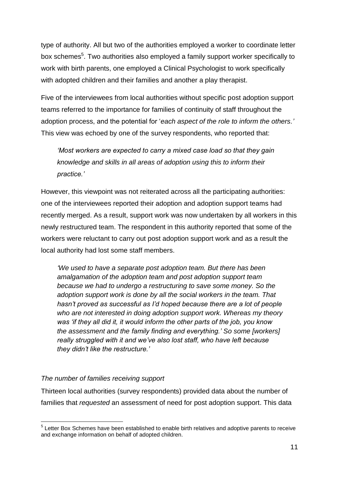type of authority. All but two of the authorities employed a worker to coordinate letter box schemes<sup>5</sup>. Two authorities also employed a family support worker specifically to work with birth parents, one employed a Clinical Psychologist to work specifically with adopted children and their families and another a play therapist.

Five of the interviewees from local authorities without specific post adoption support teams referred to the importance for families of continuity of staff throughout the adoption process, and the potential for '*each aspect of the role to inform the others.'*  This view was echoed by one of the survey respondents, who reported that:

*'Most workers are expected to carry a mixed case load so that they gain knowledge and skills in all areas of adoption using this to inform their practice.'*

However, this viewpoint was not reiterated across all the participating authorities: one of the interviewees reported their adoption and adoption support teams had recently merged. As a result, support work was now undertaken by all workers in this newly restructured team. The respondent in this authority reported that some of the workers were reluctant to carry out post adoption support work and as a result the local authority had lost some staff members.

*'We used to have a separate post adoption team. But there has been amalgamation of the adoption team and post adoption support team because we had to undergo a restructuring to save some money. So the adoption support work is done by all the social workers in the team. That hasn't proved as successful as I'd hoped because there are a lot of people who are not interested in doing adoption support work. Whereas my theory was 'if they all did it, it would inform the other parts of the job, you know the assessment and the family finding and everything.' So some [workers] really struggled with it and we've also lost staff, who have left because they didn't like the restructure.'*

# <span id="page-10-0"></span>*The number of families receiving support*

Thirteen local authorities (survey respondents) provided data about the number of families that *requested* an assessment of need for post adoption support. This data

 5 Letter Box Schemes have been established to enable birth relatives and adoptive parents to receive and exchange information on behalf of adopted children.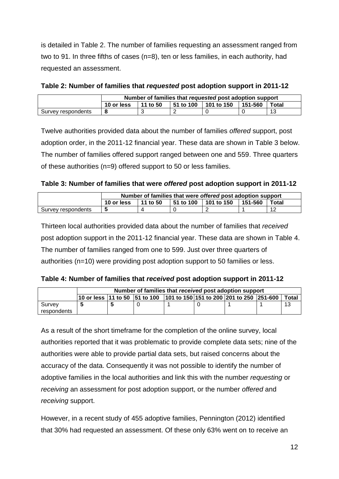is detailed in Table 2. The number of families requesting an assessment ranged from two to 91. In three fifths of cases (n=8), ten or less families, in each authority, had requested an assessment.

|                    |            |          |           | Number of families that requested post adoption support |         |           |
|--------------------|------------|----------|-----------|---------------------------------------------------------|---------|-----------|
|                    | 10 or less | 11 to 50 | 51 to 100 | 101 to 150                                              | 151-560 | Total     |
| Survey respondents |            |          |           |                                                         |         | <u>າລ</u> |

<span id="page-11-0"></span>

| Table 2: Number of families that requested post adoption support in 2011-12 |  |  |
|-----------------------------------------------------------------------------|--|--|
|-----------------------------------------------------------------------------|--|--|

Twelve authorities provided data about the number of families *offered* support, post adoption order, in the 2011-12 financial year. These data are shown in Table 3 below. The number of families offered support ranged between one and 559. Three quarters of these authorities (n=9) offered support to 50 or less families.

<span id="page-11-1"></span>

| Table 3: Number of families that were offered post adoption support in 2011-12 |  |  |
|--------------------------------------------------------------------------------|--|--|
|                                                                                |  |  |

|                    |            |          |           | Number of families that were offered post adoption support |             |                |
|--------------------|------------|----------|-----------|------------------------------------------------------------|-------------|----------------|
|                    | 10 or less | 11 to 50 | 51 to 100 | 101 to 150                                                 | $151 - 560$ | Total          |
| Survey respondents |            |          |           |                                                            |             | $\overline{ }$ |

Thirteen local authorities provided data about the number of families that *received* post adoption support in the 2011-12 financial year. These data are shown in Table 4. The number of families ranged from one to 599. Just over three quarters of authorities (n=10) were providing post adoption support to 50 families or less.

<span id="page-11-2"></span>

| Table 4: Number of families that received post adoption support in 2011-12 |  |  |  |  |  |
|----------------------------------------------------------------------------|--|--|--|--|--|
|----------------------------------------------------------------------------|--|--|--|--|--|

|             | Number of families that received post adoption support |  |  |  |  |                                                                                                                                |       |
|-------------|--------------------------------------------------------|--|--|--|--|--------------------------------------------------------------------------------------------------------------------------------|-------|
|             |                                                        |  |  |  |  | $\vert$ 10 or less $\vert$ 11 to 50 $\vert$ 51 to 100 $\vert$ 101 to 150 $\vert$ 151 to 200 $\vert$ 201 to 250 $\vert$ 251-600 | Total |
| Survey      |                                                        |  |  |  |  |                                                                                                                                | 1 O   |
| respondents |                                                        |  |  |  |  |                                                                                                                                |       |

As a result of the short timeframe for the completion of the online survey, local authorities reported that it was problematic to provide complete data sets; nine of the authorities were able to provide partial data sets, but raised concerns about the accuracy of the data. Consequently it was not possible to identify the number of adoptive families in the local authorities and link this with the number *requesting* or *receiving* an assessment for post adoption support, or the number *offered* and *receiving* support.

However, in a recent study of 455 adoptive families, Pennington (2012) identified that 30% had requested an assessment. Of these only 63% went on to receive an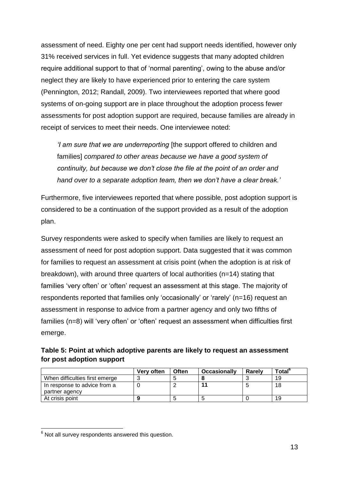assessment of need. Eighty one per cent had support needs identified, however only 31% received services in full. Yet evidence suggests that many adopted children require additional support to that of 'normal parenting', owing to the abuse and/or neglect they are likely to have experienced prior to entering the care system (Pennington, 2012; Randall, 2009). Two interviewees reported that where good systems of on-going support are in place throughout the adoption process fewer assessments for post adoption support are required, because families are already in receipt of services to meet their needs. One interviewee noted:

*'I am sure that we are underreporting* [the support offered to children and families] *compared to other areas because we have a good system of continuity, but because we don't close the file at the point of an order and hand over to a separate adoption team, then we don't have a clear break.'*

Furthermore, five interviewees reported that where possible, post adoption support is considered to be a continuation of the support provided as a result of the adoption plan.

Survey respondents were asked to specify when families are likely to request an assessment of need for post adoption support. Data suggested that it was common for families to request an assessment at crisis point (when the adoption is at risk of breakdown), with around three quarters of local authorities (n=14) stating that families 'very often' or 'often' request an assessment at this stage. The majority of respondents reported that families only 'occasionally' or 'rarely' (n=16) request an assessment in response to advice from a partner agency and only two fifths of families (n=8) will 'very often' or 'often' request an assessment when difficulties first emerge.

<span id="page-12-0"></span>

| Table 5: Point at which adoptive parents are likely to request an assessment |  |
|------------------------------------------------------------------------------|--|
| for post adoption support                                                    |  |

|                                | Very often | <b>Often</b> | <b>Occasionally</b> | Rarely | Total <sup>o</sup> |
|--------------------------------|------------|--------------|---------------------|--------|--------------------|
| When difficulties first emerge |            |              |                     |        | 19                 |
| In response to advice from a   |            |              |                     |        | 18                 |
| partner agency                 |            |              |                     |        |                    |
| At crisis point                |            |              |                     |        | 19                 |

<sup>1</sup>  $6$  Not all survey respondents answered this question.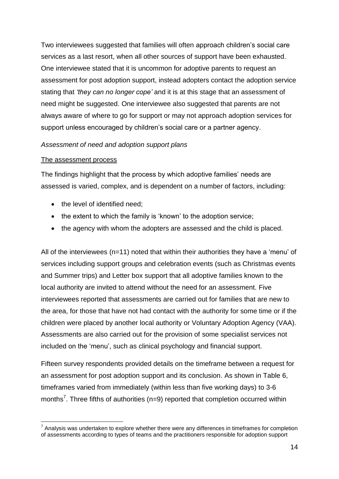Two interviewees suggested that families will often approach children's social care services as a last resort, when all other sources of support have been exhausted. One interviewee stated that it is uncommon for adoptive parents to request an assessment for post adoption support, instead adopters contact the adoption service stating that *'they can no longer cope'* and it is at this stage that an assessment of need might be suggested. One interviewee also suggested that parents are not always aware of where to go for support or may not approach adoption services for support unless encouraged by children's social care or a partner agency.

#### <span id="page-13-0"></span>*Assessment of need and adoption support plans*

#### <span id="page-13-1"></span>The assessment process

1

The findings highlight that the process by which adoptive families' needs are assessed is varied, complex, and is dependent on a number of factors, including:

- the level of identified need:
- the extent to which the family is 'known' to the adoption service;
- the agency with whom the adopters are assessed and the child is placed.

All of the interviewees (n=11) noted that within their authorities they have a 'menu' of services including support groups and celebration events (such as Christmas events and Summer trips) and Letter box support that all adoptive families known to the local authority are invited to attend without the need for an assessment. Five interviewees reported that assessments are carried out for families that are new to the area, for those that have not had contact with the authority for some time or if the children were placed by another local authority or Voluntary Adoption Agency (VAA). Assessments are also carried out for the provision of some specialist services not included on the 'menu', such as clinical psychology and financial support.

Fifteen survey respondents provided details on the timeframe between a request for an assessment for post adoption support and its conclusion. As shown in Table 6, timeframes varied from immediately (within less than five working days) to 3-6 months<sup>7</sup>. Three fifths of authorities (n=9) reported that completion occurred within

 $7$  Analysis was undertaken to explore whether there were any differences in timeframes for completion of assessments according to types of teams and the practitioners responsible for adoption support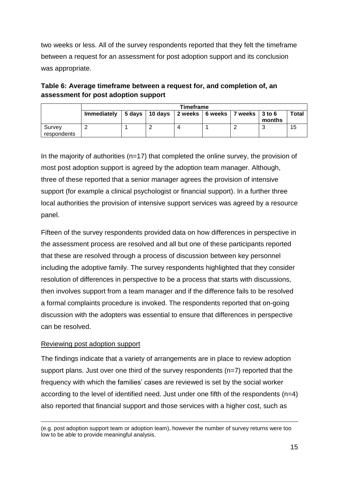two weeks or less. All of the survey respondents reported that they felt the timeframe between a request for an assessment for post adoption support and its conclusion was appropriate.

<span id="page-14-1"></span>

| Table 6: Average timeframe between a request for, and completion of, an |  |
|-------------------------------------------------------------------------|--|
| assessment for post adoption support                                    |  |

|                       | Timeframe   |  |                                        |                   |  |                  |        |       |
|-----------------------|-------------|--|----------------------------------------|-------------------|--|------------------|--------|-------|
|                       | Immediately |  | $\vert$ 5 days $\vert$ 10 days $\vert$ | 2 weeks   6 weeks |  | 7 weeks   3 to 6 | months | Total |
| Survey<br>respondents |             |  |                                        |                   |  |                  | w      | 15    |

In the majority of authorities ( $n=17$ ) that completed the online survey, the provision of most post adoption support is agreed by the adoption team manager. Although, three of these reported that a senior manager agrees the provision of intensive support (for example a clinical psychologist or financial support). In a further three local authorities the provision of intensive support services was agreed by a resource panel.

Fifteen of the survey respondents provided data on how differences in perspective in the assessment process are resolved and all but one of these participants reported that these are resolved through a process of discussion between key personnel including the adoptive family. The survey respondents highlighted that they consider resolution of differences in perspective to be a process that starts with discussions, then involves support from a team manager and if the difference fails to be resolved a formal complaints procedure is invoked. The respondents reported that on-going discussion with the adopters was essential to ensure that differences in perspective can be resolved.

# <span id="page-14-0"></span>Reviewing post adoption support

1

The findings indicate that a variety of arrangements are in place to review adoption support plans. Just over one third of the survey respondents (n=7) reported that the frequency with which the families' cases are reviewed is set by the social worker according to the level of identified need. Just under one fifth of the respondents (n=4) also reported that financial support and those services with a higher cost, such as

<sup>(</sup>e.g. post adoption support team or adoption team), however the number of survey returns were too low to be able to provide meaningful analysis.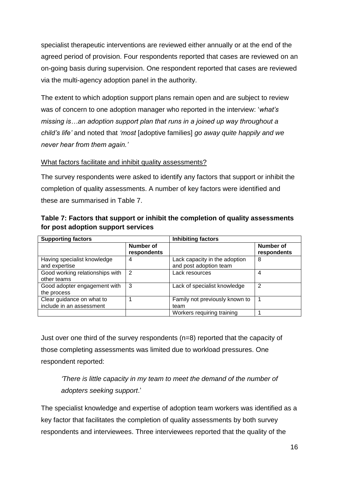specialist therapeutic interventions are reviewed either annually or at the end of the agreed period of provision. Four respondents reported that cases are reviewed on an on-going basis during supervision. One respondent reported that cases are reviewed via the multi-agency adoption panel in the authority.

The extent to which adoption support plans remain open and are subject to review was of concern to one adoption manager who reported in the interview: '*what's missing is…an adoption support plan that runs in a joined up way throughout a child's life'* and noted that *'most* [adoptive families] *go away quite happily and we never hear from them again.'*

# <span id="page-15-0"></span>What factors facilitate and inhibit quality assessments?

The survey respondents were asked to identify any factors that support or inhibit the completion of quality assessments. A number of key factors were identified and these are summarised in Table 7.

| <b>Supporting factors</b>                             |                                 | <b>Inhibiting factors</b>                               |                          |  |
|-------------------------------------------------------|---------------------------------|---------------------------------------------------------|--------------------------|--|
|                                                       | <b>Number of</b><br>respondents |                                                         | Number of<br>respondents |  |
| Having specialist knowledge<br>and expertise          | 4                               | Lack capacity in the adoption<br>and post adoption team | 8                        |  |
| Good working relationships with<br>other teams        | 2                               | Lack resources                                          | 4                        |  |
| Good adopter engagement with<br>the process           | 3                               | Lack of specialist knowledge                            | 2                        |  |
| Clear guidance on what to<br>include in an assessment |                                 | Family not previously known to<br>team                  |                          |  |
|                                                       |                                 | Workers requiring training                              |                          |  |

<span id="page-15-1"></span>**Table 7: Factors that support or inhibit the completion of quality assessments for post adoption support services**

Just over one third of the survey respondents (n=8) reported that the capacity of those completing assessments was limited due to workload pressures. One respondent reported:

*'There is little capacity in my team to meet the demand of the number of adopters seeking support*.'

The specialist knowledge and expertise of adoption team workers was identified as a key factor that facilitates the completion of quality assessments by both survey respondents and interviewees. Three interviewees reported that the quality of the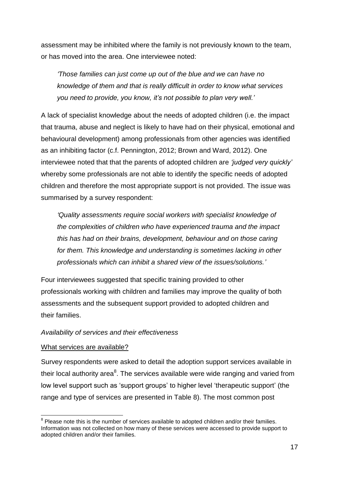assessment may be inhibited where the family is not previously known to the team, or has moved into the area. One interviewee noted:

*'Those families can just come up out of the blue and we can have no knowledge of them and that is really difficult in order to know what services you need to provide, you know, it's not possible to plan very well.'*

A lack of specialist knowledge about the needs of adopted children (i.e. the impact that trauma, abuse and neglect is likely to have had on their physical, emotional and behavioural development) among professionals from other agencies was identified as an inhibiting factor (c.f. Pennington, 2012; Brown and Ward, 2012). One interviewee noted that that the parents of adopted children are *'judged very quickly'*  whereby some professionals are not able to identify the specific needs of adopted children and therefore the most appropriate support is not provided. The issue was summarised by a survey respondent:

*'Quality assessments require social workers with specialist knowledge of the complexities of children who have experienced trauma and the impact this has had on their brains, development, behaviour and on those caring for them. This knowledge and understanding is sometimes lacking in other professionals which can inhibit a shared view of the issues/solutions.'*

Four interviewees suggested that specific training provided to other professionals working with children and families may improve the quality of both assessments and the subsequent support provided to adopted children and their families.

#### <span id="page-16-0"></span>*Availability of services and their effectiveness*

#### <span id="page-16-1"></span>What services are available?

1

Survey respondents were asked to detail the adoption support services available in their local authority area ${}^{8}$ . The services available were wide ranging and varied from low level support such as 'support groups' to higher level 'therapeutic support' (the range and type of services are presented in Table 8). The most common post

 $8$  Please note this is the number of services available to adopted children and/or their families. Information was not collected on how many of these services were accessed to provide support to adopted children and/or their families.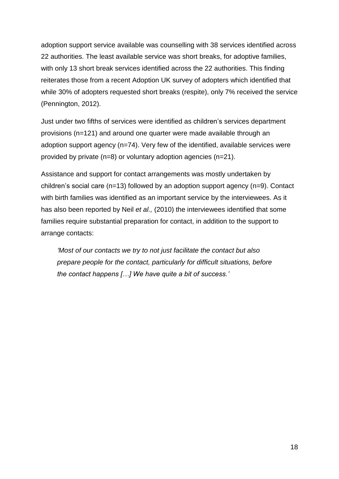adoption support service available was counselling with 38 services identified across 22 authorities. The least available service was short breaks, for adoptive families, with only 13 short break services identified across the 22 authorities. This finding reiterates those from a recent Adoption UK survey of adopters which identified that while 30% of adopters requested short breaks (respite), only 7% received the service (Pennington, 2012).

Just under two fifths of services were identified as children's services department provisions (n=121) and around one quarter were made available through an adoption support agency (n=74). Very few of the identified, available services were provided by private (n=8) or voluntary adoption agencies (n=21).

Assistance and support for contact arrangements was mostly undertaken by children's social care (n=13) followed by an adoption support agency (n=9). Contact with birth families was identified as an important service by the interviewees. As it has also been reported by Neil *et al.,* (2010) the interviewees identified that some families require substantial preparation for contact, in addition to the support to arrange contacts:

*'Most of our contacts we try to not just facilitate the contact but also prepare people for the contact, particularly for difficult situations, before the contact happens […] We have quite a bit of success.'*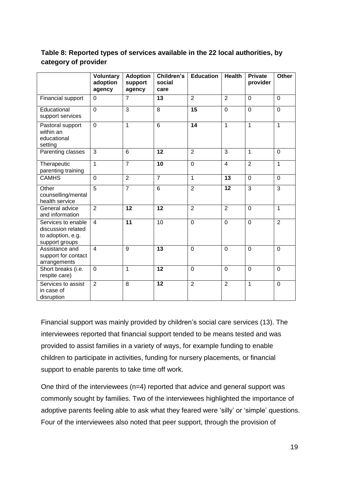# <span id="page-18-0"></span>**Table 8: Reported types of services available in the 22 local authorities, by category of provider**

|                                                                                 | <b>Voluntary</b><br>adoption<br>agency | <b>Adoption</b><br>support<br>agency | Children's<br>social<br>care | <b>Education</b> | <b>Health</b>  | <b>Private</b><br>provider | <b>Other</b>   |
|---------------------------------------------------------------------------------|----------------------------------------|--------------------------------------|------------------------------|------------------|----------------|----------------------------|----------------|
| Financial support                                                               | $\overline{0}$                         | $\overline{7}$                       | 13                           | $\overline{2}$   | $\overline{2}$ | $\Omega$                   | $\Omega$       |
| Educational<br>support services                                                 | $\mathbf 0$                            | $\overline{3}$                       | $\overline{8}$               | 15               | $\mathbf 0$    | $\mathbf 0$                | $\overline{0}$ |
| Pastoral support<br>within an<br>educational<br>setting                         | $\mathbf 0$                            | $\mathbf{1}$                         | 6                            | 14               | $\mathbf{1}$   | 1                          | $\mathbf{1}$   |
| Parenting classes                                                               | 3                                      | 6                                    | $\overline{12}$              | $\overline{2}$   | 3              | 1                          | $\mathbf 0$    |
| Therapeutic<br>parenting training                                               | $\overline{1}$                         | $\overline{7}$                       | $\overline{10}$              | $\overline{0}$   | $\overline{4}$ | $\overline{2}$             | $\overline{1}$ |
| <b>CAMHS</b>                                                                    | $\overline{0}$                         | $\overline{2}$                       | $\overline{7}$               | $\mathbf{1}$     | 13             | $\overline{0}$             | $\mathbf 0$    |
| Other<br>counselling/mental<br>health service                                   | 5                                      | $\overline{7}$                       | 6                            | $\overline{2}$   | 12             | 3                          | 3              |
| General advice<br>and information                                               | $\overline{2}$                         | $\overline{12}$                      | $\overline{12}$              | $\overline{2}$   | $\overline{2}$ | $\mathbf 0$                | $\mathbf{1}$   |
| Services to enable<br>discussion related<br>to adoption, e.g.<br>support groups | $\overline{4}$                         | $\overline{11}$                      | 10                           | 0                | $\overline{0}$ | $\overline{0}$             | $\overline{2}$ |
| Assistance and<br>support for contact<br>arrangements                           | $\overline{4}$                         | 9                                    | 13                           | $\mathbf 0$      | $\mathbf 0$    | $\Omega$                   | $\Omega$       |
| Short breaks (i.e.<br>respite care)                                             | $\mathbf 0$                            | $\mathbf{1}$                         | $\overline{12}$              | $\overline{0}$   | $\overline{0}$ | $\overline{0}$             | $\mathbf 0$    |
| Services to assist<br>in case of<br>disruption                                  | $\overline{2}$                         | 8                                    | 12                           | $\overline{2}$   | $\overline{2}$ | 1                          | $\overline{0}$ |

Financial support was mainly provided by children's social care services (13). The interviewees reported that financial support tended to be means tested and was provided to assist families in a variety of ways, for example funding to enable children to participate in activities, funding for nursery placements, or financial support to enable parents to take time off work.

One third of the interviewees (n=4) reported that advice and general support was commonly sought by families. Two of the interviewees highlighted the importance of adoptive parents feeling able to ask what they feared were 'silly' or 'simple' questions. Four of the interviewees also noted that peer support, through the provision of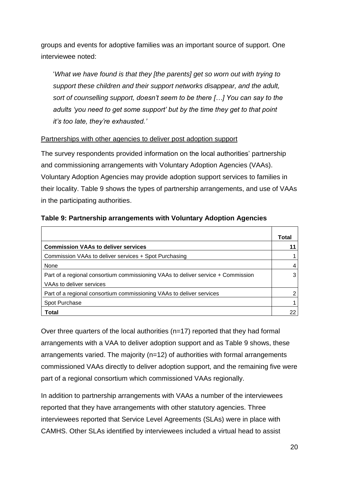groups and events for adoptive families was an important source of support. One interviewee noted:

'*What we have found is that they [the parents] get so worn out with trying to support these children and their support networks disappear, and the adult, sort of counselling support, doesn't seem to be there […] You can say to the adults 'you need to get some support' but by the time they get to that point it's too late, they're exhausted.'*

## <span id="page-19-0"></span>Partnerships with other agencies to deliver post adoption support

The survey respondents provided information on the local authorities' partnership and commissioning arrangements with Voluntary Adoption Agencies (VAAs). Voluntary Adoption Agencies may provide adoption support services to families in their locality. Table 9 shows the types of partnership arrangements, and use of VAAs in the participating authorities.

|                                                                                  | Total |
|----------------------------------------------------------------------------------|-------|
| <b>Commission VAAs to deliver services</b>                                       |       |
| Commission VAAs to deliver services + Spot Purchasing                            |       |
| None                                                                             |       |
| Part of a regional consortium commissioning VAAs to deliver service + Commission |       |
| VAAs to deliver services                                                         |       |
| Part of a regional consortium commissioning VAAs to deliver services             |       |
| Spot Purchase                                                                    |       |
| Total                                                                            |       |

## <span id="page-19-1"></span>**Table 9: Partnership arrangements with Voluntary Adoption Agencies**

 $\blacksquare$ 

Over three quarters of the local authorities (n=17) reported that they had formal arrangements with a VAA to deliver adoption support and as Table 9 shows, these arrangements varied. The majority (n=12) of authorities with formal arrangements commissioned VAAs directly to deliver adoption support, and the remaining five were part of a regional consortium which commissioned VAAs regionally.

In addition to partnership arrangements with VAAs a number of the interviewees reported that they have arrangements with other statutory agencies. Three interviewees reported that Service Level Agreements (SLAs) were in place with CAMHS. Other SLAs identified by interviewees included a virtual head to assist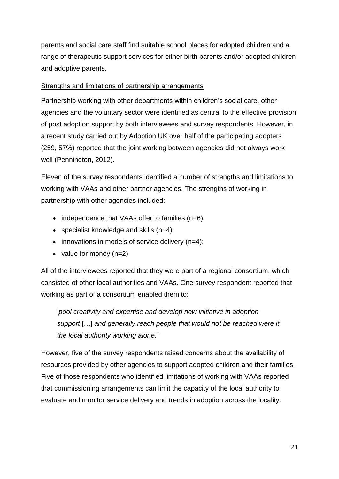parents and social care staff find suitable school places for adopted children and a range of therapeutic support services for either birth parents and/or adopted children and adoptive parents.

## <span id="page-20-0"></span>Strengths and limitations of partnership arrangements

Partnership working with other departments within children's social care, other agencies and the voluntary sector were identified as central to the effective provision of post adoption support by both interviewees and survey respondents. However, in a recent study carried out by Adoption UK over half of the participating adopters (259, 57%) reported that the joint working between agencies did not always work well (Pennington, 2012).

Eleven of the survey respondents identified a number of strengths and limitations to working with VAAs and other partner agencies. The strengths of working in partnership with other agencies included:

- $\bullet$  independence that VAAs offer to families (n=6);
- specialist knowledge and skills  $(n=4)$ ;
- $\bullet$  innovations in models of service delivery (n=4);
- value for money  $(n=2)$ .

All of the interviewees reported that they were part of a regional consortium, which consisted of other local authorities and VAAs. One survey respondent reported that working as part of a consortium enabled them to:

'*pool creativity and expertise and develop new initiative in adoption support* […] *and generally reach people that would not be reached were it the local authority working alone.'* 

However, five of the survey respondents raised concerns about the availability of resources provided by other agencies to support adopted children and their families. Five of those respondents who identified limitations of working with VAAs reported that commissioning arrangements can limit the capacity of the local authority to evaluate and monitor service delivery and trends in adoption across the locality.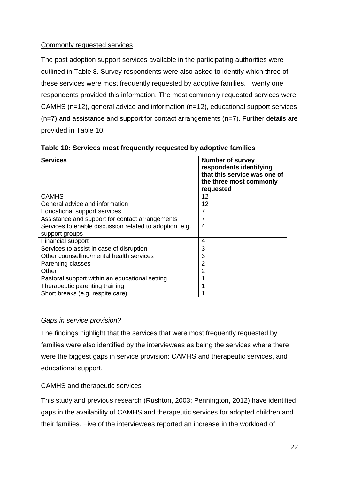# <span id="page-21-0"></span>Commonly requested services

The post adoption support services available in the participating authorities were outlined in Table 8. Survey respondents were also asked to identify which three of these services were most frequently requested by adoptive families. Twenty one respondents provided this information. The most commonly requested services were CAMHS (n=12), general advice and information (n=12), educational support services  $(n=7)$  and assistance and support for contact arrangements  $(n=7)$ . Further details are provided in Table 10.

| <b>Services</b>                                         | <b>Number of survey</b><br>respondents identifying<br>that this service was one of<br>the three most commonly<br>requested |
|---------------------------------------------------------|----------------------------------------------------------------------------------------------------------------------------|
| <b>CAMHS</b>                                            | 12                                                                                                                         |
| General advice and information                          | 12                                                                                                                         |
| <b>Educational support services</b>                     | 7                                                                                                                          |
| Assistance and support for contact arrangements         | 7                                                                                                                          |
| Services to enable discussion related to adoption, e.g. | $\overline{4}$                                                                                                             |
| support groups                                          |                                                                                                                            |
| Financial support                                       | 4                                                                                                                          |
| Services to assist in case of disruption                | 3                                                                                                                          |
| Other counselling/mental health services                | 3                                                                                                                          |
| Parenting classes                                       | $\overline{2}$                                                                                                             |
| Other                                                   | 2                                                                                                                          |
| Pastoral support within an educational setting          |                                                                                                                            |
| Therapeutic parenting training                          | 1                                                                                                                          |
| Short breaks (e.g. respite care)                        |                                                                                                                            |

<span id="page-21-3"></span>**Table 10: Services most frequently requested by adoptive families** 

# <span id="page-21-1"></span>*Gaps in service provision?*

The findings highlight that the services that were most frequently requested by families were also identified by the interviewees as being the services where there were the biggest gaps in service provision: CAMHS and therapeutic services, and educational support.

# <span id="page-21-2"></span>CAMHS and therapeutic services

This study and previous research (Rushton, 2003; Pennington, 2012) have identified gaps in the availability of CAMHS and therapeutic services for adopted children and their families. Five of the interviewees reported an increase in the workload of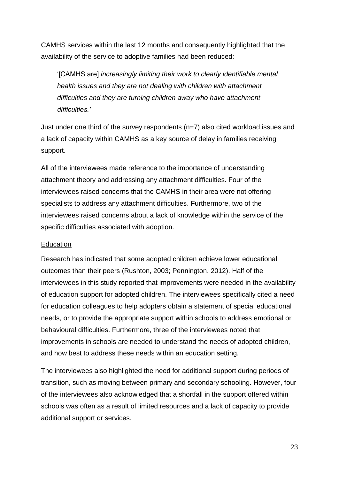CAMHS services within the last 12 months and consequently highlighted that the availability of the service to adoptive families had been reduced:

'[CAMHS are] *increasingly limiting their work to clearly identifiable mental health issues and they are not dealing with children with attachment difficulties and they are turning children away who have attachment difficulties.'*

Just under one third of the survey respondents (n=7) also cited workload issues and a lack of capacity within CAMHS as a key source of delay in families receiving support.

All of the interviewees made reference to the importance of understanding attachment theory and addressing any attachment difficulties. Four of the interviewees raised concerns that the CAMHS in their area were not offering specialists to address any attachment difficulties. Furthermore, two of the interviewees raised concerns about a lack of knowledge within the service of the specific difficulties associated with adoption.

#### <span id="page-22-0"></span>**Education**

Research has indicated that some adopted children achieve lower educational outcomes than their peers (Rushton, 2003; Pennington, 2012). Half of the interviewees in this study reported that improvements were needed in the availability of education support for adopted children. The interviewees specifically cited a need for education colleagues to help adopters obtain a statement of special educational needs, or to provide the appropriate support within schools to address emotional or behavioural difficulties. Furthermore, three of the interviewees noted that improvements in schools are needed to understand the needs of adopted children, and how best to address these needs within an education setting.

The interviewees also highlighted the need for additional support during periods of transition, such as moving between primary and secondary schooling. However, four of the interviewees also acknowledged that a shortfall in the support offered within schools was often as a result of limited resources and a lack of capacity to provide additional support or services.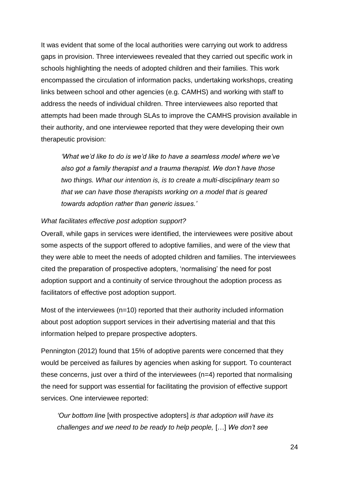It was evident that some of the local authorities were carrying out work to address gaps in provision. Three interviewees revealed that they carried out specific work in schools highlighting the needs of adopted children and their families. This work encompassed the circulation of information packs, undertaking workshops, creating links between school and other agencies (e.g. CAMHS) and working with staff to address the needs of individual children. Three interviewees also reported that attempts had been made through SLAs to improve the CAMHS provision available in their authority, and one interviewee reported that they were developing their own therapeutic provision:

*'What we'd like to do is we'd like to have a seamless model where we've also got a family therapist and a trauma therapist. We don't have those two things. What our intention is, is to create a multi-disciplinary team so that we can have those therapists working on a model that is geared towards adoption rather than generic issues.'* 

#### <span id="page-23-0"></span>*What facilitates effective post adoption support?*

Overall, while gaps in services were identified, the interviewees were positive about some aspects of the support offered to adoptive families, and were of the view that they were able to meet the needs of adopted children and families. The interviewees cited the preparation of prospective adopters, 'normalising' the need for post adoption support and a continuity of service throughout the adoption process as facilitators of effective post adoption support.

Most of the interviewees (n=10) reported that their authority included information about post adoption support services in their advertising material and that this information helped to prepare prospective adopters.

Pennington (2012) found that 15% of adoptive parents were concerned that they would be perceived as failures by agencies when asking for support. To counteract these concerns, just over a third of the interviewees (n=4) reported that normalising the need for support was essential for facilitating the provision of effective support services. One interviewee reported:

*'Our bottom line* [with prospective adopters] *is that adoption will have its challenges and we need to be ready to help people,* […] *We don't see*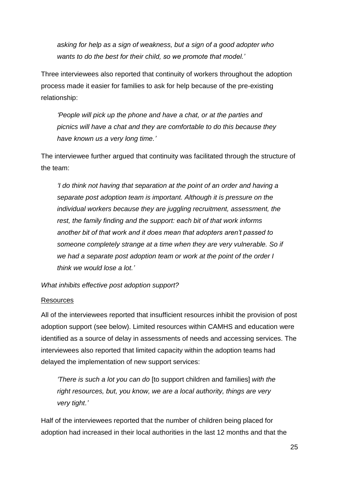*asking for help as a sign of weakness, but a sign of a good adopter who wants to do the best for their child, so we promote that model.'* 

Three interviewees also reported that continuity of workers throughout the adoption process made it easier for families to ask for help because of the pre-existing relationship:

*'People will pick up the phone and have a chat, or at the parties and picnics will have a chat and they are comfortable to do this because they have known us a very long time.'*

The interviewee further argued that continuity was facilitated through the structure of the team:

*'I do think not having that separation at the point of an order and having a separate post adoption team is important. Although it is pressure on the individual workers because they are juggling recruitment, assessment, the rest, the family finding and the support: each bit of that work informs another bit of that work and it does mean that adopters aren't passed to someone completely strange at a time when they are very vulnerable. So if we had a separate post adoption team or work at the point of the order I think we would lose a lot.'*

<span id="page-24-0"></span>*What inhibits effective post adoption support?*

#### <span id="page-24-1"></span>Resources

All of the interviewees reported that insufficient resources inhibit the provision of post adoption support (see below). Limited resources within CAMHS and education were identified as a source of delay in assessments of needs and accessing services. The interviewees also reported that limited capacity within the adoption teams had delayed the implementation of new support services:

*'There is such a lot you can do* [to support children and families] *with the right resources, but, you know, we are a local authority, things are very very tight.'*

Half of the interviewees reported that the number of children being placed for adoption had increased in their local authorities in the last 12 months and that the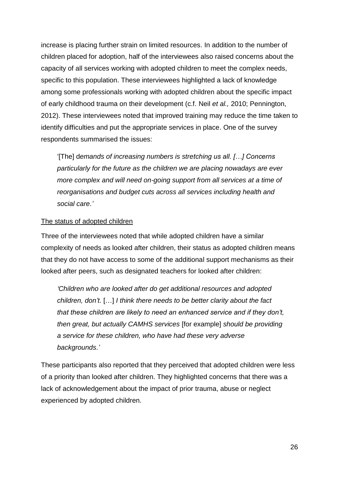increase is placing further strain on limited resources. In addition to the number of children placed for adoption, half of the interviewees also raised concerns about the capacity of all services working with adopted children to meet the complex needs, specific to this population. These interviewees highlighted a lack of knowledge among some professionals working with adopted children about the specific impact of early childhood trauma on their development (c.f. Neil *et al.,* 2010; Pennington, 2012). These interviewees noted that improved training may reduce the time taken to identify difficulties and put the appropriate services in place. One of the survey respondents summarised the issues:

'[The] d*emands of increasing numbers is stretching us all. […] Concerns particularly for the future as the children we are placing nowadays are ever more complex and will need on-going support from all services at a time of reorganisations and budget cuts across all services including health and social care.'*

#### <span id="page-25-0"></span>The status of adopted children

Three of the interviewees noted that while adopted children have a similar complexity of needs as looked after children, their status as adopted children means that they do not have access to some of the additional support mechanisms as their looked after peers, such as designated teachers for looked after children:

*'Children who are looked after do get additional resources and adopted children, don't.* […] *I think there needs to be better clarity about the fact that these children are likely to need an enhanced service and if they don't, then great, but actually CAMHS services* [for example] *should be providing a service for these children, who have had these very adverse backgrounds.'* 

These participants also reported that they perceived that adopted children were less of a priority than looked after children. They highlighted concerns that there was a lack of acknowledgement about the impact of prior trauma, abuse or neglect experienced by adopted children.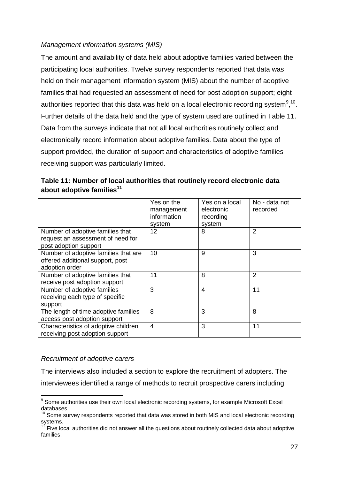# <span id="page-26-0"></span>*Management information systems (MIS)*

The amount and availability of data held about adoptive families varied between the participating local authorities. Twelve survey respondents reported that data was held on their management information system (MIS) about the number of adoptive families that had requested an assessment of need for post adoption support; eight authorities reported that this data was held on a local electronic recording system $9,10$ . Further details of the data held and the type of system used are outlined in Table 11. Data from the surveys indicate that not all local authorities routinely collect and electronically record information about adoptive families. Data about the type of support provided, the duration of support and characteristics of adoptive families receiving support was particularly limited.

|                                      | Yes on the  | Yes on a local | No - data not  |
|--------------------------------------|-------------|----------------|----------------|
|                                      | management  | electronic     | recorded       |
|                                      | information | recording      |                |
|                                      | system      | system         |                |
| Number of adoptive families that     | 12          | 8              | 2              |
| request an assessment of need for    |             |                |                |
| post adoption support                |             |                |                |
| Number of adoptive families that are | 10          | 9              | 3              |
| offered additional support, post     |             |                |                |
| adoption order                       |             |                |                |
| Number of adoptive families that     | 11          | 8              | $\overline{2}$ |
| receive post adoption support        |             |                |                |
| Number of adoptive families          | 3           | $\overline{4}$ | 11             |
| receiving each type of specific      |             |                |                |
| support                              |             |                |                |
| The length of time adoptive families | 8           | 3              | 8              |
| access post adoption support         |             |                |                |
| Characteristics of adoptive children | 4           | 3              | 11             |
| receiving post adoption support      |             |                |                |

<span id="page-26-2"></span>**Table 11: Number of local authorities that routinely record electronic data about adoptive families<sup>11</sup>**

# <span id="page-26-1"></span>*Recruitment of adoptive carers*

The interviews also included a section to explore the recruitment of adopters. The interviewees identified a range of methods to recruit prospective carers including

<sup>1</sup> <sup>9</sup> Some authorities use their own local electronic recording systems, for example Microsoft Excel databases.

 $^{0}$  Some survey respondents reported that data was stored in both MIS and local electronic recording systems.

Five local authorities did not answer all the questions about routinely collected data about adoptive families.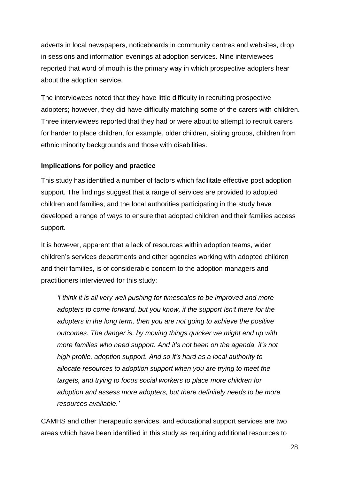adverts in local newspapers, noticeboards in community centres and websites, drop in sessions and information evenings at adoption services. Nine interviewees reported that word of mouth is the primary way in which prospective adopters hear about the adoption service.

The interviewees noted that they have little difficulty in recruiting prospective adopters; however, they did have difficulty matching some of the carers with children. Three interviewees reported that they had or were about to attempt to recruit carers for harder to place children, for example, older children, sibling groups, children from ethnic minority backgrounds and those with disabilities.

# <span id="page-27-0"></span>**Implications for policy and practice**

This study has identified a number of factors which facilitate effective post adoption support. The findings suggest that a range of services are provided to adopted children and families, and the local authorities participating in the study have developed a range of ways to ensure that adopted children and their families access support.

It is however, apparent that a lack of resources within adoption teams, wider children's services departments and other agencies working with adopted children and their families, is of considerable concern to the adoption managers and practitioners interviewed for this study:

*'I think it is all very well pushing for timescales to be improved and more adopters to come forward, but you know, if the support isn't there for the adopters in the long term, then you are not going to achieve the positive outcomes. The danger is, by moving things quicker we might end up with more families who need support. And it's not been on the agenda, it's not high profile, adoption support. And so it's hard as a local authority to allocate resources to adoption support when you are trying to meet the targets, and trying to focus social workers to place more children for adoption and assess more adopters, but there definitely needs to be more resources available.'*

CAMHS and other therapeutic services, and educational support services are two areas which have been identified in this study as requiring additional resources to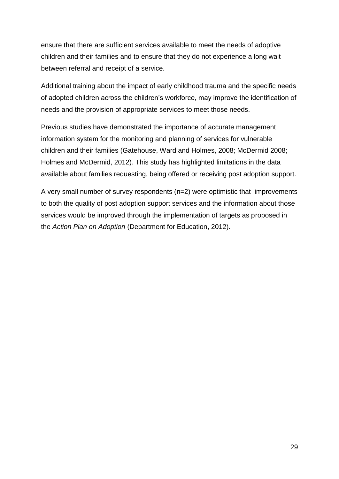ensure that there are sufficient services available to meet the needs of adoptive children and their families and to ensure that they do not experience a long wait between referral and receipt of a service.

Additional training about the impact of early childhood trauma and the specific needs of adopted children across the children's workforce, may improve the identification of needs and the provision of appropriate services to meet those needs.

Previous studies have demonstrated the importance of accurate management information system for the monitoring and planning of services for vulnerable children and their families (Gatehouse, Ward and Holmes, 2008; McDermid 2008; Holmes and McDermid, 2012). This study has highlighted limitations in the data available about families requesting, being offered or receiving post adoption support.

A very small number of survey respondents (n=2) were optimistic that improvements to both the quality of post adoption support services and the information about those services would be improved through the implementation of targets as proposed in the *Action Plan on Adoption* (Department for Education, 2012).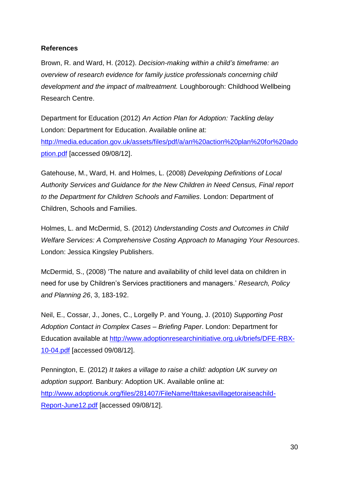#### <span id="page-29-0"></span>**References**

Brown, R. and Ward, H. (2012). *Decision-making within a child's timeframe: an overview of research evidence for family justice professionals concerning child development and the impact of maltreatment.* Loughborough: Childhood Wellbeing Research Centre.

Department for Education (2012) *An Action Plan for Adoption: Tackling delay* London: Department for Education. Available online at: [http://media.education.gov.uk/assets/files/pdf/a/an%20action%20plan%20for%20ado](http://media.education.gov.uk/assets/files/pdf/a/an%20action%20plan%20for%20adoption.pdf) [ption.pdf](http://media.education.gov.uk/assets/files/pdf/a/an%20action%20plan%20for%20adoption.pdf) [accessed 09/08/12].

Gatehouse, M., Ward, H. and Holmes, L. (2008) *Developing Definitions of Local Authority Services and Guidance for the New Children in Need Census, Final report to the Department for Children Schools and Families.* London: Department of Children, Schools and Families.

Holmes, L. and McDermid, S. (2012) *Understanding Costs and Outcomes in Child Welfare Services: A Comprehensive Costing Approach to Managing Your Resources.* London: Jessica Kingsley Publishers.

McDermid, S., (2008) 'The nature and availability of child level data on children in need for use by Children's Services practitioners and managers.' *Research, Policy and Planning 26*, 3, 183-192.

Neil, E., Cossar, J., Jones, C., Lorgelly P. and Young, J. (2010) *Supporting Post Adoption Contact in Complex Cases – Briefing Paper*. London: Department for Education available at [http://www.adoptionresearchinitiative.org.uk/briefs/DFE-RBX-](http://www.adoptionresearchinitiative.org.uk/briefs/DFE-RBX-10-04.pdf)[10-04.pdf](http://www.adoptionresearchinitiative.org.uk/briefs/DFE-RBX-10-04.pdf) [accessed 09/08/12].

Pennington, E. (2012) *It takes a village to raise a child: adoption UK survey on adoption support.* Banbury: Adoption UK. Available online at: [http://www.adoptionuk.org/files/281407/FileName/Ittakesavillagetoraiseachild-](http://www.adoptionuk.org/files/281407/FileName/Ittakesavillagetoraiseachild-Report-June12.pdf)[Report-June12.pdf](http://www.adoptionuk.org/files/281407/FileName/Ittakesavillagetoraiseachild-Report-June12.pdf) [accessed 09/08/12].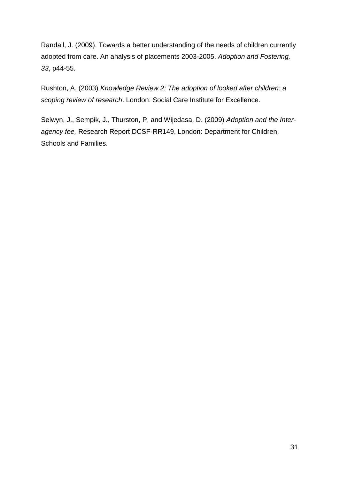Randall, J. (2009). Towards a better understanding of the needs of children currently adopted from care. An analysis of placements 2003-2005. *Adoption and Fostering, 33*, p44-55.

Rushton, A. (2003) *Knowledge Review 2: The adoption of looked after children: a scoping review of research*. London: Social Care Institute for Excellence.

Selwyn, J., Sempik, J., Thurston, P. and Wijedasa, D. (2009) *Adoption and the Interagency fee,* Research Report DCSF-RR149, London: Department for Children, Schools and Families.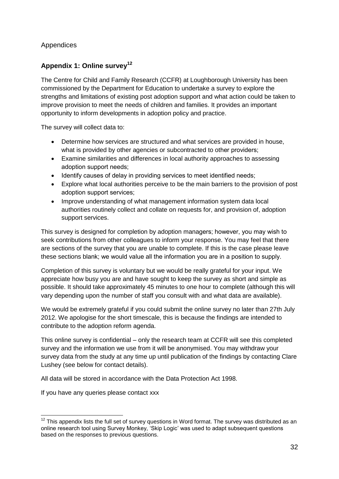# <span id="page-31-0"></span>Appendices

# <span id="page-31-1"></span>**Appendix 1: Online survey<sup>12</sup>**

The Centre for Child and Family Research (CCFR) at Loughborough University has been commissioned by the Department for Education to undertake a survey to explore the strengths and limitations of existing post adoption support and what action could be taken to improve provision to meet the needs of children and families. It provides an important opportunity to inform developments in adoption policy and practice.

The survey will collect data to:

- Determine how services are structured and what services are provided in house, what is provided by other agencies or subcontracted to other providers;
- Examine similarities and differences in local authority approaches to assessing adoption support needs;
- Identify causes of delay in providing services to meet identified needs;
- Explore what local authorities perceive to be the main barriers to the provision of post adoption support services;
- Improve understanding of what management information system data local authorities routinely collect and collate on requests for, and provision of, adoption support services.

This survey is designed for completion by adoption managers; however, you may wish to seek contributions from other colleagues to inform your response. You may feel that there are sections of the survey that you are unable to complete. If this is the case please leave these sections blank; we would value all the information you are in a position to supply.

Completion of this survey is voluntary but we would be really grateful for your input. We appreciate how busy you are and have sought to keep the survey as short and simple as possible. It should take approximately 45 minutes to one hour to complete (although this will vary depending upon the number of staff you consult with and what data are available).

We would be extremely grateful if you could submit the online survey no later than 27th July 2012. We apologise for the short timescale, this is because the findings are intended to contribute to the adoption reform agenda.

This online survey is confidential – only the research team at CCFR will see this completed survey and the information we use from it will be anonymised. You may withdraw your survey data from the study at any time up until publication of the findings by contacting Clare Lushey (see below for contact details).

All data will be stored in accordance with the Data Protection Act 1998.

If you have any queries please contact xxx

<sup>1</sup>  $12$  This appendix lists the full set of survey questions in Word format. The survey was distributed as an online research tool using Survey Monkey, 'Skip Logic' was used to adapt subsequent questions based on the responses to previous questions.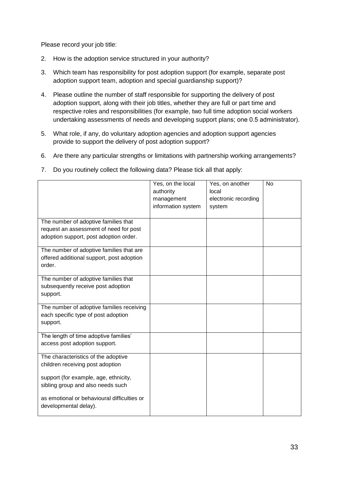Please record your job title:

- 2. How is the adoption service structured in your authority?
- 3. Which team has responsibility for post adoption support (for example, separate post adoption support team, adoption and special guardianship support)?
- 4. Please outline the number of staff responsible for supporting the delivery of post adoption support, along with their job titles, whether they are full or part time and respective roles and responsibilities (for example, two full time adoption social workers undertaking assessments of needs and developing support plans; one 0.5 administrator).
- 5. What role, if any, do voluntary adoption agencies and adoption support agencies provide to support the delivery of post adoption support?
- 6. Are there any particular strengths or limitations with partnership working arrangements?
- 7. Do you routinely collect the following data? Please tick all that apply:

|                                                                                                                          | Yes, on the local<br>authority<br>management<br>information system | Yes, on another<br>local<br>electronic recording<br>system | <b>No</b> |
|--------------------------------------------------------------------------------------------------------------------------|--------------------------------------------------------------------|------------------------------------------------------------|-----------|
| The number of adoptive families that<br>request an assessment of need for post<br>adoption support, post adoption order. |                                                                    |                                                            |           |
| The number of adoptive families that are<br>offered additional support, post adoption<br>order.                          |                                                                    |                                                            |           |
| The number of adoptive families that<br>subsequently receive post adoption<br>support.                                   |                                                                    |                                                            |           |
| The number of adoptive families receiving<br>each specific type of post adoption<br>support.                             |                                                                    |                                                            |           |
| The length of time adoptive families'<br>access post adoption support.                                                   |                                                                    |                                                            |           |
| The characteristics of the adoptive<br>children receiving post adoption                                                  |                                                                    |                                                            |           |
| support (for example, age, ethnicity,<br>sibling group and also needs such                                               |                                                                    |                                                            |           |
| as emotional or behavioural difficulties or<br>developmental delay).                                                     |                                                                    |                                                            |           |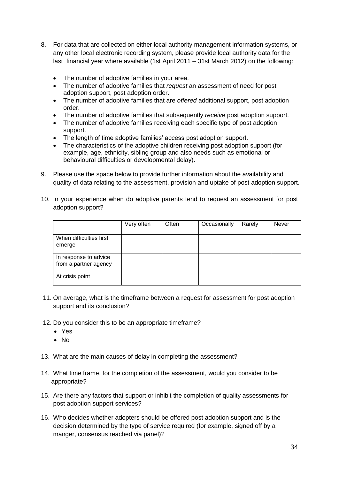- 8. For data that are collected on either local authority management information systems, or any other local electronic recording system, please provide local authority data for the last financial year where available (1st April 2011 – 31st March 2012) on the following:
	- The number of adoptive families in your area.
	- The number of adoptive families that *request* an assessment of need for post adoption support, post adoption order.
	- The number of adoptive families that are *offered* additional support, post adoption order.
	- The number of adoptive families that subsequently *receive* post adoption support.
	- The number of adoptive families receiving each specific type of post adoption support.
	- The length of time adoptive families' access post adoption support.
	- The characteristics of the adoptive children receiving post adoption support (for example, age, ethnicity, sibling group and also needs such as emotional or behavioural difficulties or developmental delay).
- 9. Please use the space below to provide further information about the availability and quality of data relating to the assessment, provision and uptake of post adoption support.
- 10. In your experience when do adoptive parents tend to request an assessment for post adoption support?

|                                                | Very often | Often | Occasionally | Rarely | Never |
|------------------------------------------------|------------|-------|--------------|--------|-------|
| When difficulties first<br>emerge              |            |       |              |        |       |
| In response to advice<br>from a partner agency |            |       |              |        |       |
| At crisis point                                |            |       |              |        |       |

- 11. On average, what is the timeframe between a request for assessment for post adoption support and its conclusion?
- 12. Do you consider this to be an appropriate timeframe?
	- Yes
	- $\bullet$  No
- 13. What are the main causes of delay in completing the assessment?
- 14. What time frame, for the completion of the assessment, would you consider to be appropriate?
- 15. Are there any factors that support or inhibit the completion of quality assessments for post adoption support services?
- 16. Who decides whether adopters should be offered post adoption support and is the decision determined by the type of service required (for example, signed off by a manger, consensus reached via panel)?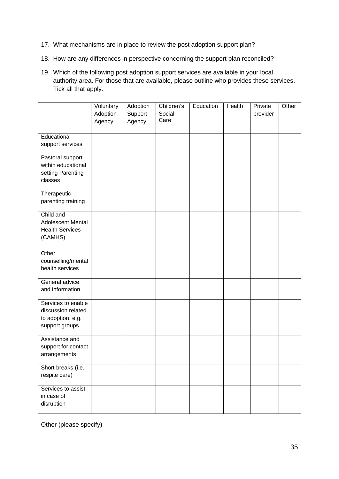- 17. What mechanisms are in place to review the post adoption support plan?
- 18. How are any differences in perspective concerning the support plan reconciled?
- 19. Which of the following post adoption support services are available in your local authority area. For those that are available, please outline who provides these services. Tick all that apply.

|                                                                                 | Voluntary<br>Adoption<br>Agency | Adoption<br>Support<br>Agency | Children's<br>Social<br>Care | Education | Health | Private<br>provider | Other |
|---------------------------------------------------------------------------------|---------------------------------|-------------------------------|------------------------------|-----------|--------|---------------------|-------|
| Educational                                                                     |                                 |                               |                              |           |        |                     |       |
| support services                                                                |                                 |                               |                              |           |        |                     |       |
| Pastoral support<br>within educational<br>setting Parenting<br>classes          |                                 |                               |                              |           |        |                     |       |
| Therapeutic<br>parenting training                                               |                                 |                               |                              |           |        |                     |       |
| Child and<br>Adolescent Mental<br><b>Health Services</b><br>(CAMHS)             |                                 |                               |                              |           |        |                     |       |
| Other<br>counselling/mental<br>health services                                  |                                 |                               |                              |           |        |                     |       |
| General advice<br>and information                                               |                                 |                               |                              |           |        |                     |       |
| Services to enable<br>discussion related<br>to adoption, e.g.<br>support groups |                                 |                               |                              |           |        |                     |       |
| Assistance and<br>support for contact<br>arrangements                           |                                 |                               |                              |           |        |                     |       |
| Short breaks (i.e.<br>respite care)                                             |                                 |                               |                              |           |        |                     |       |
| Services to assist<br>in case of<br>disruption                                  |                                 |                               |                              |           |        |                     |       |

Other (please specify)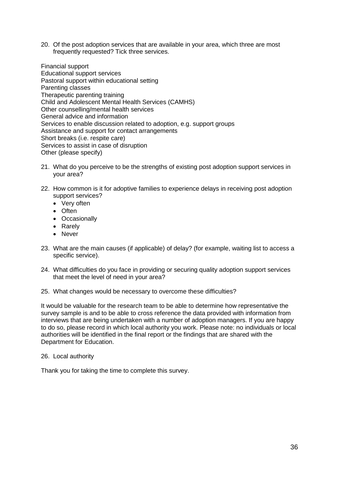20. Of the post adoption services that are available in your area, which three are most frequently requested? Tick three services.

Financial support Educational support services Pastoral support within educational setting Parenting classes Therapeutic parenting training Child and Adolescent Mental Health Services (CAMHS) Other counselling/mental health services General advice and information Services to enable discussion related to adoption, e.g. support groups Assistance and support for contact arrangements Short breaks (i.e. respite care) Services to assist in case of disruption Other (please specify)

- 21. What do you perceive to be the strengths of existing post adoption support services in your area?
- 22. How common is it for adoptive families to experience delays in receiving post adoption support services?
	- Very often
	- Often
	- Occasionally
	- Rarely
	- Never
- 23. What are the main causes (if applicable) of delay? (for example, waiting list to access a specific service).
- 24. What difficulties do you face in providing or securing quality adoption support services that meet the level of need in your area?
- 25. What changes would be necessary to overcome these difficulties?

It would be valuable for the research team to be able to determine how representative the survey sample is and to be able to cross reference the data provided with information from interviews that are being undertaken with a number of adoption managers. If you are happy to do so, please record in which local authority you work. Please note: no individuals or local authorities will be identified in the final report or the findings that are shared with the Department for Education.

26. Local authority

Thank you for taking the time to complete this survey.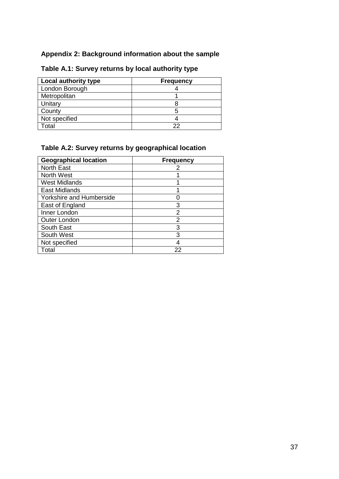# <span id="page-36-0"></span>**Appendix 2: Background information about the sample**

| Local authority type | <b>Frequency</b> |
|----------------------|------------------|
| London Borough       |                  |
| Metropolitan         |                  |
| Unitary              |                  |
| County               |                  |
| Not specified        |                  |
| otal                 | つつ               |

# <span id="page-36-1"></span>**Table A.1: Survey returns by local authority type**

# <span id="page-36-2"></span>**Table A.2: Survey returns by geographical location**

| <b>Geographical location</b> | <b>Frequency</b> |
|------------------------------|------------------|
| <b>North East</b>            |                  |
| <b>North West</b>            |                  |
| <b>West Midlands</b>         |                  |
| <b>East Midlands</b>         |                  |
| Yorkshire and Humberside     |                  |
| East of England              | 3                |
| Inner London                 | 2                |
| Outer London                 | 2                |
| <b>South East</b>            | 3                |
| South West                   | 3                |
| Not specified                |                  |
| Total                        | 22               |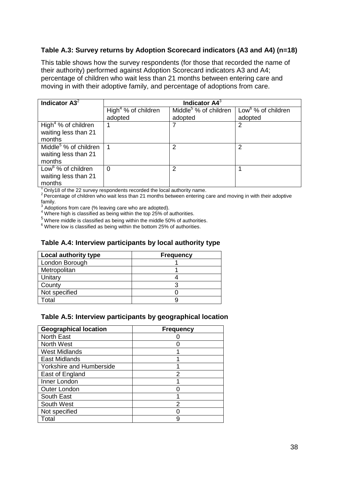## <span id="page-37-0"></span>**Table A.3: Survey returns by Adoption Scorecard indicators (A3 and A4) (n=18)**

This table shows how the survey respondents (for those that recorded the name of their authority) performed against Adoption Scorecard indicators A3 and A4; percentage of children who wait less than 21 months between entering care and moving in with their adoptive family, and percentage of adoptions from care.

| Indicator $A32$                   | Indicator A4 <sup>3</sup>       |                                   |                                |  |  |  |
|-----------------------------------|---------------------------------|-----------------------------------|--------------------------------|--|--|--|
|                                   | High <sup>4</sup> % of children | Middle <sup>5</sup> % of children | Low <sup>6</sup> % of children |  |  |  |
|                                   | adopted                         | adopted                           | adopted                        |  |  |  |
| High <sup>4</sup> % of children   |                                 |                                   | 2                              |  |  |  |
| waiting less than 21              |                                 |                                   |                                |  |  |  |
| months                            |                                 |                                   |                                |  |  |  |
| Middle <sup>5</sup> % of children |                                 | 2                                 | 2                              |  |  |  |
| waiting less than 21              |                                 |                                   |                                |  |  |  |
| months                            |                                 |                                   |                                |  |  |  |
| Low <sup>6</sup> % of children    | $\Omega$                        | 2                                 |                                |  |  |  |
| waiting less than 21              |                                 |                                   |                                |  |  |  |
| months                            |                                 |                                   |                                |  |  |  |

 $1$ Only18 of the 22 survey respondents recorded the local authority name.

<sup>2</sup> Percentage of children who wait less than 21 months between entering care and moving in with their adoptive family.

Adoptions from care (% leaving care who are adopted).

Adoptions from care (70 feavility care with div duoptour).<br>
<sup>4</sup> Where high is classified as being within the top 25% of authorities.

 $5$  Where middle is classified as being within the middle 50% of authorities.

 $6$  Where low is classified as being within the bottom 25% of authorities.

#### <span id="page-37-1"></span>**Table A.4: Interview participants by local authority type**

| Local authority type | <b>Frequency</b> |
|----------------------|------------------|
| London Borough       |                  |
| Metropolitan         |                  |
| Unitary              |                  |
| County               |                  |
| Not specified        |                  |
| otal                 |                  |

#### <span id="page-37-2"></span>**Table A.5: Interview participants by geographical location**

| <b>Geographical location</b> | <b>Frequency</b> |
|------------------------------|------------------|
| <b>North East</b>            |                  |
| <b>North West</b>            |                  |
| <b>West Midlands</b>         |                  |
| <b>East Midlands</b>         |                  |
| Yorkshire and Humberside     |                  |
| East of England              | 2                |
| Inner London                 |                  |
| <b>Outer London</b>          |                  |
| South East                   |                  |
| South West                   | 2                |
| Not specified                |                  |
| Total                        | 9                |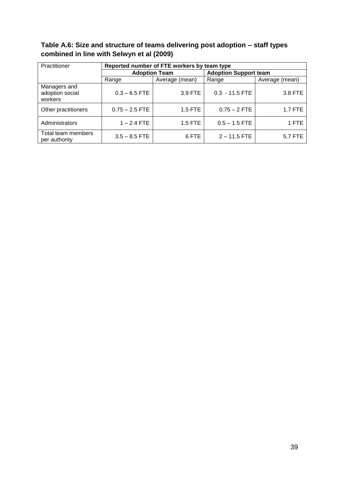<span id="page-38-0"></span>**Table A.6: Size and structure of teams delivering post adoption – staff types combined in line with Selwyn et al (2009)**

| Practitioner                               | Reported number of FTE workers by team type |                |                              |                |  |  |
|--------------------------------------------|---------------------------------------------|----------------|------------------------------|----------------|--|--|
|                                            | <b>Adoption Team</b>                        |                | <b>Adoption Support team</b> |                |  |  |
|                                            | Range                                       | Average (mean) | Range                        | Average (mean) |  |  |
| Managers and<br>adoption social<br>workers | $0.3 - 6.5$ FTE                             | 3.9 FTE        | $0.3 - 11.5$ FTE             | 3.8 FTE        |  |  |
| Other practitioners                        | $0.75 - 2.5$ FTE                            | 1.5 FTE        | $0.75 - 2$ FTE               | 1.7 FTE        |  |  |
| Administrators                             | $1 - 2.4$ FTE                               | 1.5 FTE        | $0.5 - 1.5$ FTE              | 1 FTE          |  |  |
| Total team members<br>per authority        | $3.5 - 8.5$ FTE                             | 6 FTE          | $2 - 11.5$ FTE               | 5.7 FTE        |  |  |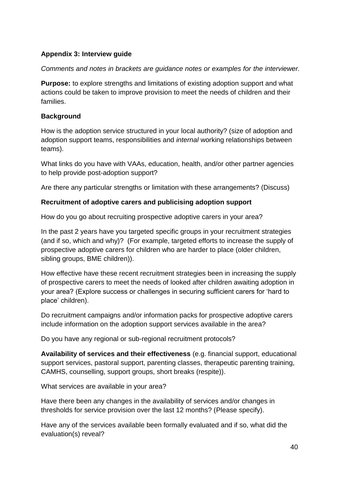# <span id="page-39-0"></span>**Appendix 3: Interview guide**

*Comments and notes in brackets are guidance notes or examples for the interviewer.* 

**Purpose:** to explore strengths and limitations of existing adoption support and what actions could be taken to improve provision to meet the needs of children and their families.

# **Background**

How is the adoption service structured in your local authority? (size of adoption and adoption support teams, responsibilities and *internal* working relationships between teams).

What links do you have with VAAs, education, health, and/or other partner agencies to help provide post-adoption support?

Are there any particular strengths or limitation with these arrangements? (Discuss)

# **Recruitment of adoptive carers and publicising adoption support**

How do you go about recruiting prospective adoptive carers in your area?

In the past 2 years have you targeted specific groups in your recruitment strategies (and if so, which and why)? (For example, targeted efforts to increase the supply of prospective adoptive carers for children who are harder to place (older children, sibling groups, BME children)).

How effective have these recent recruitment strategies been in increasing the supply of prospective carers to meet the needs of looked after children awaiting adoption in your area? (Explore success or challenges in securing sufficient carers for 'hard to place' children).

Do recruitment campaigns and/or information packs for prospective adoptive carers include information on the adoption support services available in the area?

Do you have any regional or sub-regional recruitment protocols?

**Availability of services and their effectiveness** (e.g. financial support, educational support services, pastoral support, parenting classes, therapeutic parenting training, CAMHS, counselling, support groups, short breaks (respite)).

What services are available in your area?

Have there been any changes in the availability of services and/or changes in thresholds for service provision over the last 12 months? (Please specify).

Have any of the services available been formally evaluated and if so, what did the evaluation(s) reveal?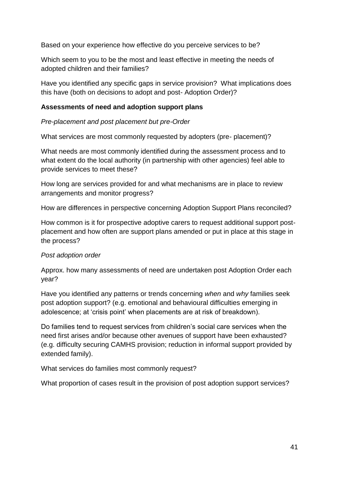Based on your experience how effective do you perceive services to be?

Which seem to you to be the most and least effective in meeting the needs of adopted children and their families?

Have you identified any specific gaps in service provision? What implications does this have (both on decisions to adopt and post- Adoption Order)?

# **Assessments of need and adoption support plans**

*Pre-placement and post placement but pre-Order*

What services are most commonly requested by adopters (pre- placement)?

What needs are most commonly identified during the assessment process and to what extent do the local authority (in partnership with other agencies) feel able to provide services to meet these?

How long are services provided for and what mechanisms are in place to review arrangements and monitor progress?

How are differences in perspective concerning Adoption Support Plans reconciled?

How common is it for prospective adoptive carers to request additional support postplacement and how often are support plans amended or put in place at this stage in the process?

# *Post adoption order*

Approx. how many assessments of need are undertaken post Adoption Order each year?

Have you identified any patterns or trends concerning *when* and *why* families seek post adoption support? (e.g. emotional and behavioural difficulties emerging in adolescence; at 'crisis point' when placements are at risk of breakdown).

Do families tend to request services from children's social care services when the need first arises and/or because other avenues of support have been exhausted? (e.g. difficulty securing CAMHS provision; reduction in informal support provided by extended family).

What services do families most commonly request?

What proportion of cases result in the provision of post adoption support services?